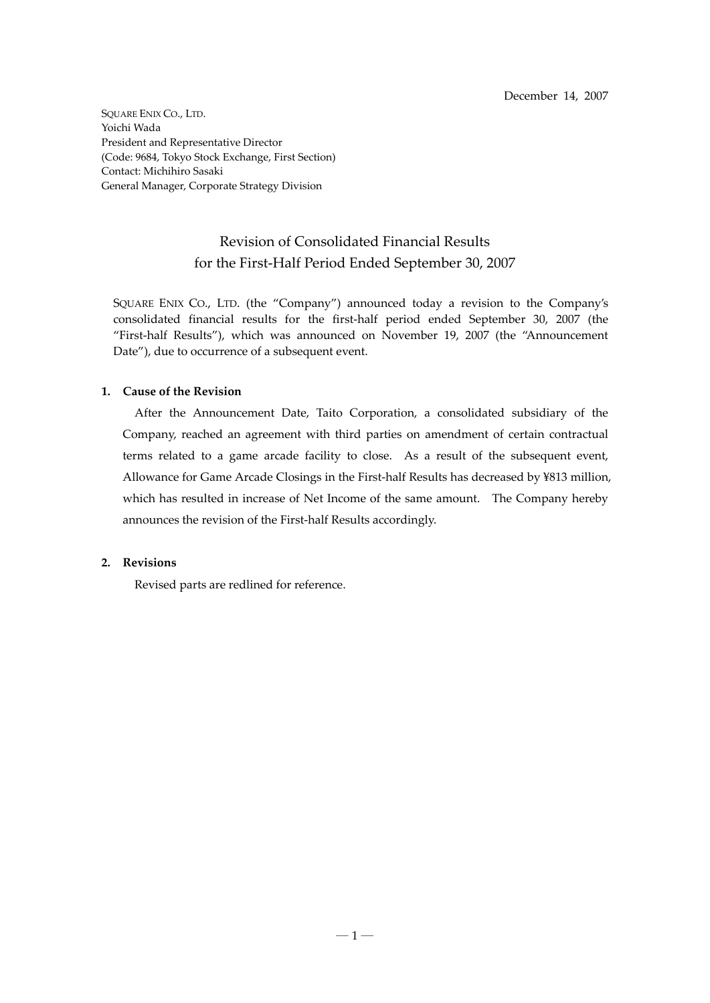SQUARE ENIX CO., LTD. Yoichi Wada President and Representative Director (Code: 9684, Tokyo Stock Exchange, First Section) Contact: Michihiro Sasaki General Manager, Corporate Strategy Division

# Revision of Consolidated Financial Results for the First‐Half Period Ended September 30, 2007

SQUARE ENIX CO., LTD. (the "Company") announced today a revision to the Company's consolidated financial results for the first‐half period ended September 30, 2007 (the "First-half Results"), which was announced on November 19, 2007 (the "Announcement Date"), due to occurrence of a subsequent event.

## **1. Cause of the Revision**

After the Announcement Date, Taito Corporation, a consolidated subsidiary of the Company, reached an agreement with third parties on amendment of certain contractual terms related to a game arcade facility to close. As a result of the subsequent event, Allowance for Game Arcade Closings in the First-half Results has decreased by ¥813 million, which has resulted in increase of Net Income of the same amount. The Company hereby announces the revision of the First‐half Results accordingly.

## **2. Revisions**

Revised parts are redlined for reference.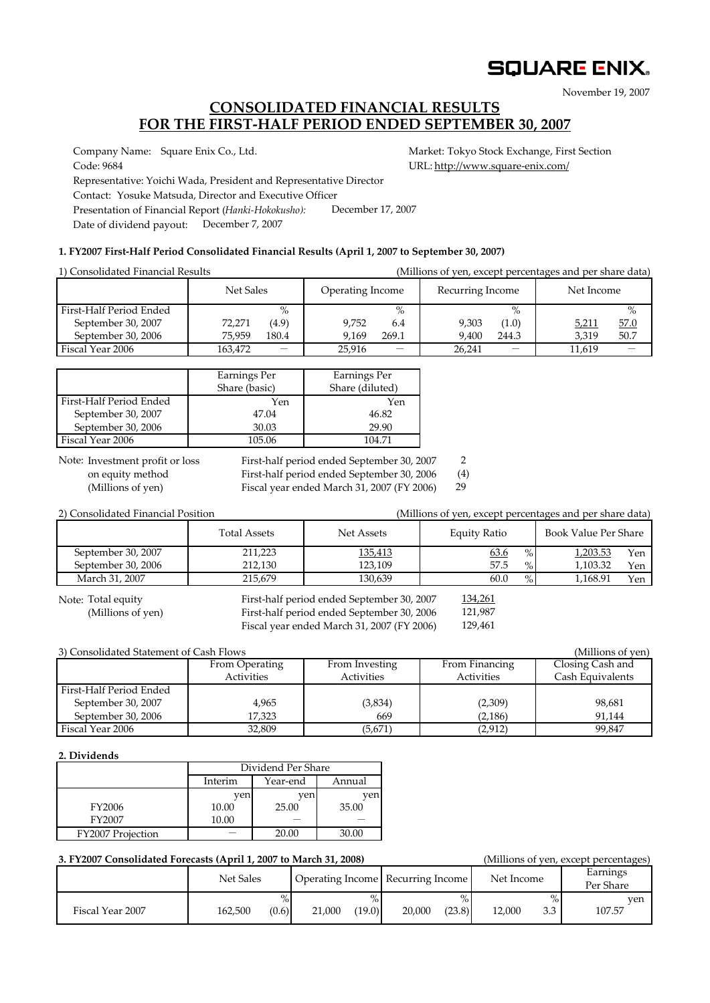# **SQUARE ENIX.**

November 19, 2007

# **CONSOLIDATED FINANCIAL RESULTS FOR THE FIRST‐HALF PERIOD ENDED SEPTEMBER 30, 2007**

Company Name: Square Enix Co., Ltd. Market: Tokyo Stock Exchange, First Section

Code: 9684 URL: http://www.square-enix.com/ Representative: Yoichi Wada, President and Representative Director Contact: Yosuke Matsuda, Director and Executive Officer Presentation of Financial Report (*Hanki‐Hokokusho):* Date of dividend payout: December 7, 2007 December 17, 2007

## **1. FY2007 First‐Half Period Consolidated Financial Results (April 1, 2007 to September 30, 2007)**

| 1) Consolidated Financial Results |           |                          |                  |       |                  |                          | (Millions of yen, except percentages and per share data) |      |
|-----------------------------------|-----------|--------------------------|------------------|-------|------------------|--------------------------|----------------------------------------------------------|------|
|                                   | Net Sales |                          | Operating Income |       | Recurring Income |                          | Net Income                                               |      |
| First-Half Period Ended           |           | $\%$                     |                  | $\%$  |                  | $\%$                     |                                                          | $\%$ |
| September 30, 2007                | 72,271    | (4.9)                    | 9.752            | 6.4   | 9.303            | (1.0)                    | 5,211                                                    | 57.0 |
| September 30, 2006                | 75.959    | 180.4                    | 9.169            | 269.1 | 9.400            | 244.3                    | 3.319                                                    | 50.7 |
| Fiscal Year 2006                  | 163,472   | $\overline{\phantom{0}}$ | 25,916           |       | 26.241           | $\overline{\phantom{0}}$ | 11,619                                                   |      |

|                         | Earnings Per<br>Share (basic) | Earnings Per<br>Share (diluted) |
|-------------------------|-------------------------------|---------------------------------|
| First-Half Period Ended | Yen                           | Yen                             |
| September 30, 2007      | 47.04                         | 46.82                           |
| September 30, 2006      | 30.03                         | 29.90                           |
| Fiscal Year 2006        | 105.06                        | 104.71                          |

Note: Investment profit or loss

First-half period ended September 30, 2007 2

on equity method First‐half period ended September 30, 2006 (4) 29

(Millions of yen) Fiscal year ended March 31, 2007 (FY 2006)

| 2) Consolidated Financial Position |                     |            | (Millions of yen, except percentages and per share data) |                      |     |
|------------------------------------|---------------------|------------|----------------------------------------------------------|----------------------|-----|
|                                    | <b>Total Assets</b> | Net Assets | Equity Ratio                                             | Book Value Per Share |     |
| September 30, 2007                 | 211.223             | 135,413    | 63.6<br>$\%$                                             | 1,203.53             | Yen |
| September 30, 2006                 | 212.130             | 123.109    | 57.5<br>$\%$                                             | 1.103.32             | Yen |
| March 31, 2007                     | 215.679             | 130.639    | 60.0<br>$\%$                                             | 1,168.91             | Yen |

Note: Total equity

First-half period ended September 30, 2007 (Millions of yen) First‐half period ended September 30, 2006 Fiscal year ended March 31, 2007 (FY 2006)

121,987 129,461 134,261

| 3) Consolidated Statement of Cash Flows |                |                |                   | (Millions of yen) |
|-----------------------------------------|----------------|----------------|-------------------|-------------------|
|                                         | From Operating | From Investing | From Financing    | Closing Cash and  |
|                                         | Activities     | Activities     | <b>Activities</b> | Cash Equivalents  |
| First-Half Period Ended                 |                |                |                   |                   |
| September 30, 2007                      | 4,965          | (3,834)        | (2,309)           | 98,681            |
| September 30, 2006                      | 17,323         | 669            | (2, 186)          | 91.144            |
| Fiscal Year 2006                        | 32,809         | (5,671)        | (2, 912)          | 99.847            |

## **2. Dividends**

|                   | Dividend Per Share            |       |       |  |  |
|-------------------|-------------------------------|-------|-------|--|--|
|                   | Interim<br>Year-end<br>Annual |       |       |  |  |
|                   | ven                           | ven   | ven   |  |  |
| <b>FY2006</b>     | 10.00                         | 25.00 | 35.00 |  |  |
| FY2007            | 10.00                         |       |       |  |  |
| FY2007 Projection |                               | 20.00 | 30.00 |  |  |

| 3. FY2007 Consolidated Forecasts (April 1, 2007 to March 31, 2008) |           |       |        |        |                                   |        |            |     | (Millions of yen, except percentages) |
|--------------------------------------------------------------------|-----------|-------|--------|--------|-----------------------------------|--------|------------|-----|---------------------------------------|
|                                                                    | Net Sales |       |        |        | Operating Income Recurring Income |        | Net Income |     | Earnings<br>Per Share                 |
|                                                                    |           | $\%$  |        |        |                                   |        |            |     | ven                                   |
| Fiscal Year 2007                                                   | 162,500   | (0.6) | 21.000 | (19.0) | 20,000                            | (23.8) | 12.000     | 3.3 | 107.57                                |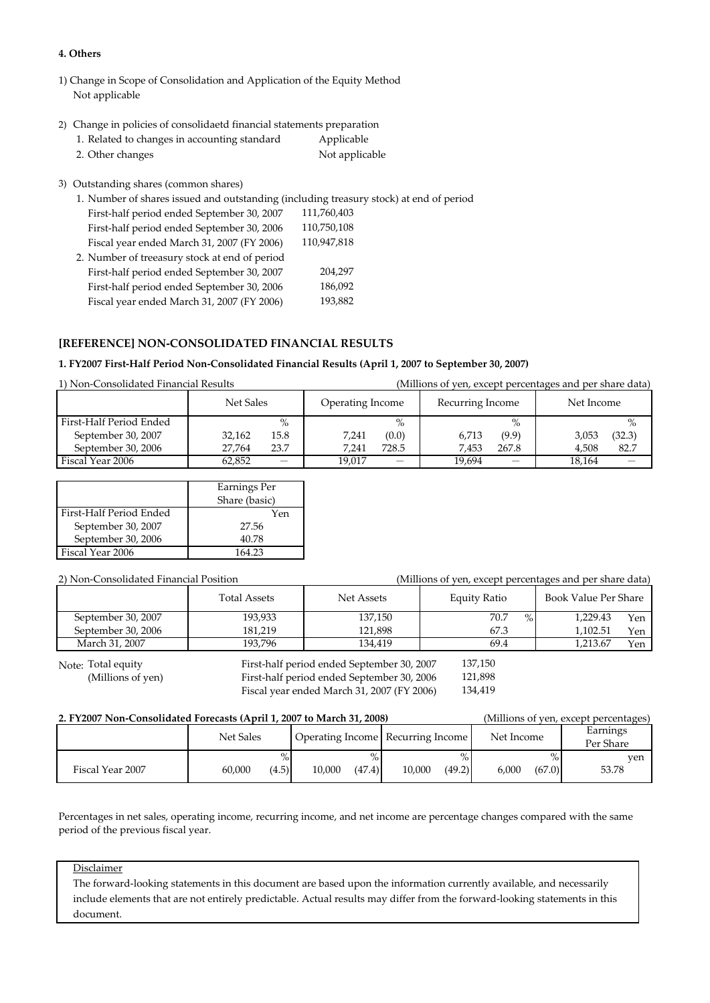### **4. Others**

- 1) Change in Scope of Consolidation and Application of the Equity Method Not applicable
- 2) Change in policies of consolidaetd financial statements preparation

| 1. Related to changes in accounting standard | Applicable     |
|----------------------------------------------|----------------|
| 2. Other changes                             | Not applicable |

3) Outstanding shares (common shares)

| First-half period ended September 30, 2007 | 111,760,403                                   |
|--------------------------------------------|-----------------------------------------------|
| First-half period ended September 30, 2006 | 110,750,108                                   |
| Fiscal year ended March 31, 2007 (FY 2006) | 110,947,818                                   |
|                                            |                                               |
| First-half period ended September 30, 2007 | 204,297                                       |
| First-half period ended September 30, 2006 | 186,092                                       |
| Fiscal year ended March 31, 2007 (FY 2006) | 193,882                                       |
|                                            | 2. Number of treeasury stock at end of period |

## **[REFERENCE] NON‐CONSOLIDATED FINANCIAL RESULTS**

## 1. FY2007 First-Half Period Non-Consolidated Financial Results (April 1, 2007 to September 30, 2007)

1) Non‐Consolidated Financial Results (Millions of yen, except percentages and per share data)

|                         | Net Sales                   | Operating Income | Recurring Income                   | Net Income      |
|-------------------------|-----------------------------|------------------|------------------------------------|-----------------|
| First-Half Period Ended | $\%$                        | $\%$             | $\%$                               | $\%$            |
| September 30, 2007      | 15.8<br>32.162              | 7,241<br>(0.0)   | 6.713<br>(9.9)                     | (32.3)<br>3,053 |
| September 30, 2006      | 23.7<br>27.764              | 7.241<br>728.5   | 267.8<br>7.453                     | 82.7<br>4.508   |
| Fiscal Year 2006        | 62.852<br>$\qquad \qquad -$ | 19.017<br>–      | 19.694<br>$\overline{\phantom{0}}$ | 18.164          |

|                         | Earnings Per<br>Share (basic) |
|-------------------------|-------------------------------|
| First-Half Period Ended | Yen                           |
| September 30, 2007      | 27.56                         |
| September 30, 2006      | 40.78                         |
| Fiscal Year 2006        | 164 23                        |

### 2) Non‐Consolidated Financial Position (Millions of yen, except percentages and per share data)

|                    | <b>Total Assets</b> | Net Assets | Equity Ratio | Book Value Per Share |
|--------------------|---------------------|------------|--------------|----------------------|
| September 30, 2007 | 193,933             | 137,150    | 70.7<br>$\%$ | 1.229.43<br>Yen      |
| September 30, 2006 | 181.219             | 121.898    | 67.3         | 1.102.51<br>Yen      |
| March 31, 2007     | 193.796             | 134.419    | 69.4         | 1.213.67<br>Yen      |

Note: Total equity

First-half period ended September 30, 2007 (Millions of yen) First-half period ended September 30, 2006 Fiscal year ended March 31, 2007 (FY 2006) 121,898 137,150

134,419

## **2. FY2007 Non‐Consolidated Forecasts (April 1, 2007 to March 31, 2008)** (Millions of yen, except percentages)

| 2. 1 12007 TWII-CONSONYANCA FOLCGSIS (APHIFI, 2007 TO MATCH 91, 2000)<br>(MHINOILS OI VEH, CACCPI PETCENTALES) |                         |                  |                                   |                         |                       |  |  |  |  |
|----------------------------------------------------------------------------------------------------------------|-------------------------|------------------|-----------------------------------|-------------------------|-----------------------|--|--|--|--|
|                                                                                                                | Net Sales               |                  | Operating Income Recurring Income | Net Income              | Earnings<br>Per Share |  |  |  |  |
| Fiscal Year 2007                                                                                               | $\%$<br>60.000<br>(4.5) | (47.4)<br>10.000 | (49.2)<br>10.000                  | $\%$<br>6.000<br>(67.0) | ven<br>53.78          |  |  |  |  |

Percentages in net sales, operating income, recurring income, and net income are percentage changes compared with the same period of the previous fiscal year.

### Disclaimer

The forward-looking statements in this document are based upon the information currently available, and necessarily include elements that are not entirely predictable. Actual results may differ from the forward-looking statements in this document.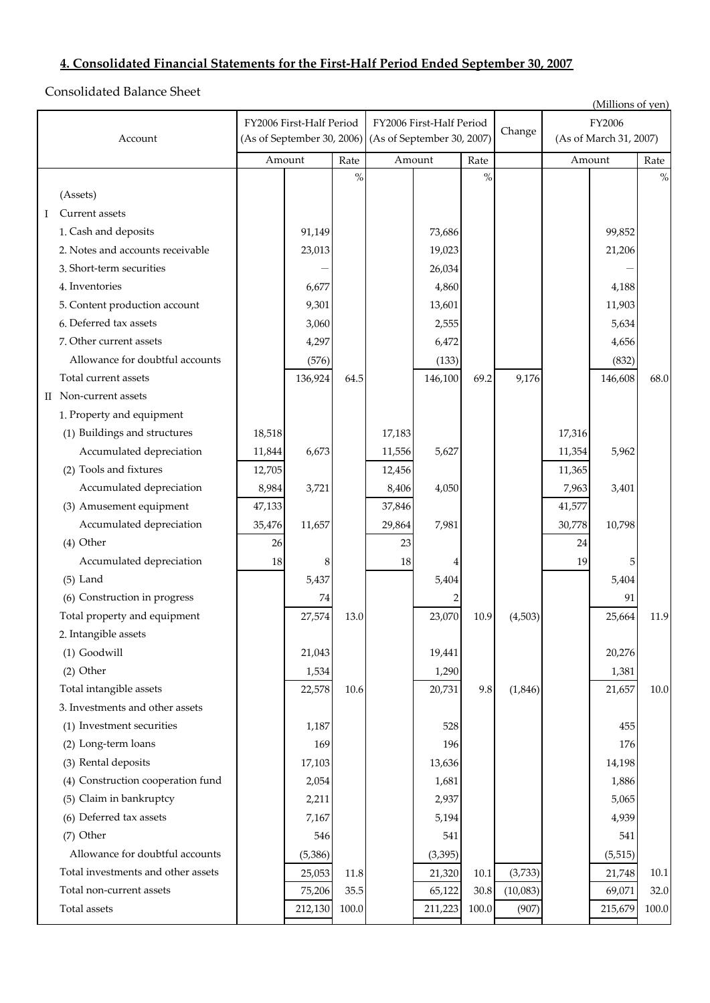# **4. Consolidated Financial Statements for the First‐Half Period Ended September 30, 2007**

Consolidated Balance Sheet

|         |                                    |                            |                          |       |                            |          |          |          |                        | (Millions of yen) |       |
|---------|------------------------------------|----------------------------|--------------------------|-------|----------------------------|----------|----------|----------|------------------------|-------------------|-------|
|         |                                    |                            | FY2006 First-Half Period |       | FY2006 First-Half Period   |          |          |          | FY2006                 |                   |       |
| Account |                                    | (As of September 30, 2006) |                          |       | (As of September 30, 2007) |          |          | Change   | (As of March 31, 2007) |                   |       |
|         |                                    | Amount                     |                          | Rate  | Amount                     |          | Rate     |          | Amount                 |                   | Rate  |
|         |                                    |                            |                          | $\%$  |                            |          | $\%$     |          |                        |                   | $\%$  |
|         | (Assets)                           |                            |                          |       |                            |          |          |          |                        |                   |       |
| Ι       | Current assets                     |                            |                          |       |                            |          |          |          |                        |                   |       |
|         | 1. Cash and deposits               |                            | 91,149                   |       |                            | 73,686   |          |          |                        | 99,852            |       |
|         | 2. Notes and accounts receivable   |                            | 23,013                   |       |                            | 19,023   |          |          |                        | 21,206            |       |
|         | 3. Short-term securities           |                            |                          |       |                            | 26,034   |          |          |                        |                   |       |
|         | 4. Inventories                     |                            | 6,677                    |       |                            | 4,860    |          |          |                        | 4,188             |       |
|         | 5. Content production account      |                            | 9,301                    |       |                            | 13,601   |          |          |                        | 11,903            |       |
|         | 6. Deferred tax assets             |                            | 3,060                    |       |                            | 2,555    |          |          |                        | 5,634             |       |
|         | 7. Other current assets            |                            | 4,297                    |       |                            | 6,472    |          |          |                        | 4,656             |       |
|         | Allowance for doubtful accounts    |                            | (576)                    |       |                            | (133)    |          |          |                        | (832)             |       |
|         | Total current assets               |                            | 136,924                  | 64.5  |                            | 146,100  | 69.2     | 9,176    |                        | 146,608           | 68.0  |
|         | II Non-current assets              |                            |                          |       |                            |          |          |          |                        |                   |       |
|         | 1. Property and equipment          |                            |                          |       |                            |          |          |          |                        |                   |       |
|         | (1) Buildings and structures       | 18,518                     |                          |       | 17,183                     |          |          |          | 17,316                 |                   |       |
|         | Accumulated depreciation           | 11,844                     | 6,673                    |       | 11,556                     | 5,627    |          |          | 11,354                 | 5,962             |       |
|         | (2) Tools and fixtures             | 12,705                     |                          |       | 12,456                     |          |          |          | 11,365                 |                   |       |
|         | Accumulated depreciation           | 8,984                      | 3,721                    |       | 8,406                      | 4,050    |          |          | 7,963                  | 3,401             |       |
|         | (3) Amusement equipment            | 47,133                     |                          |       | 37,846                     |          |          |          | 41,577                 |                   |       |
|         | Accumulated depreciation           | 35,476                     | 11,657                   |       | 29,864                     | 7,981    |          |          | 30,778                 | 10,798            |       |
|         | (4) Other                          | 26                         |                          |       | 23                         |          |          |          | 24                     |                   |       |
|         | Accumulated depreciation           | 18                         | 8                        |       | 18                         |          |          |          | 19                     | 5                 |       |
|         | $(5)$ Land                         |                            | 5,437                    |       |                            | 5,404    |          |          |                        | 5,404             |       |
|         | (6) Construction in progress       |                            | 74                       |       |                            |          |          |          |                        | 91                |       |
|         | Total property and equipment       |                            | 27,574                   | 13.0  |                            | 23,070   | 10.9     | (4,503)  |                        | 25,664            | 11.9  |
|         | 2. Intangible assets               |                            |                          |       |                            |          |          |          |                        |                   |       |
|         | (1) Goodwill                       |                            | 21,043                   |       |                            | 19,441   |          |          |                        | 20,276            |       |
|         | $(2)$ Other                        |                            | 1,534                    |       |                            | 1,290    |          |          |                        | 1,381             |       |
|         | Total intangible assets            |                            | 22,578                   | 10.6  |                            | 20,731   | 9.8      | (1, 846) |                        | 21,657            | 10.0  |
|         | 3. Investments and other assets    |                            |                          |       |                            |          |          |          |                        |                   |       |
|         | (1) Investment securities          |                            | 1,187                    |       |                            | 528      |          |          |                        | 455               |       |
|         | (2) Long-term loans                |                            | 169                      |       |                            | 196      |          |          |                        | 176               |       |
|         | (3) Rental deposits                |                            | 17,103                   |       |                            | 13,636   |          |          |                        | 14,198            |       |
|         | (4) Construction cooperation fund  |                            | 2,054                    |       |                            | 1,681    |          |          |                        | 1,886             |       |
|         | (5) Claim in bankruptcy            |                            | 2,211                    |       |                            | 2,937    |          |          |                        | 5,065             |       |
|         | (6) Deferred tax assets            |                            | 7,167                    |       |                            | 5,194    |          |          |                        | 4,939             |       |
|         | (7) Other                          |                            | 546                      |       |                            | 541      |          |          |                        | 541               |       |
|         | Allowance for doubtful accounts    |                            | (5, 386)                 |       |                            | (3, 395) |          |          |                        | (5, 515)          |       |
|         | Total investments and other assets |                            | 25,053                   | 11.8  |                            | 21,320   | $10.1\,$ | (3,733)  |                        | 21,748            | 10.1  |
|         | Total non-current assets           |                            | 75,206                   | 35.5  |                            | 65,122   | 30.8     | (10,083) |                        | 69,071            | 32.0  |
|         | Total assets                       |                            | 212,130                  | 100.0 |                            | 211,223  | 100.0    | (907)    |                        | 215,679           | 100.0 |
|         |                                    |                            |                          |       |                            |          |          |          |                        |                   |       |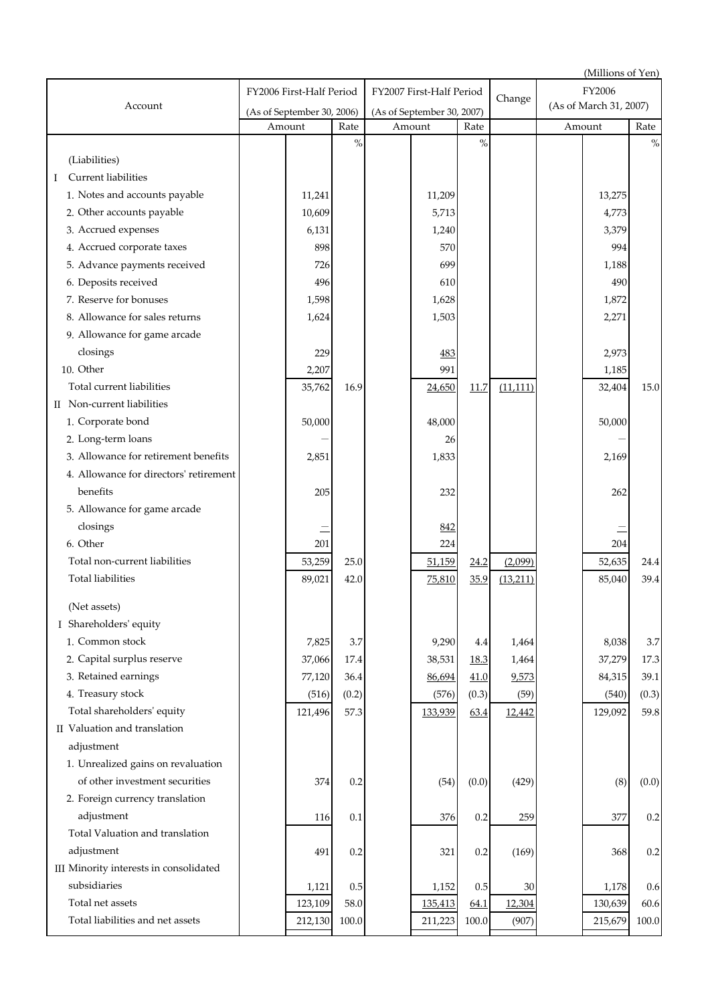|                                        |                            |                          |           |                            |         |           |           |                        | (Millions of Yen) |           |
|----------------------------------------|----------------------------|--------------------------|-----------|----------------------------|---------|-----------|-----------|------------------------|-------------------|-----------|
|                                        |                            | FY2006 First-Half Period |           | FY2007 First-Half Period   |         |           |           | FY2006                 |                   |           |
| Account                                | (As of September 30, 2006) |                          |           | (As of September 30, 2007) |         |           | Change    | (As of March 31, 2007) |                   |           |
|                                        |                            | Amount                   | Rate      |                            | Amount  | Rate      |           |                        | Amount            | Rate      |
|                                        |                            |                          | $\%$      |                            |         | $\%$      |           |                        |                   | $\%$      |
| (Liabilities)                          |                            |                          |           |                            |         |           |           |                        |                   |           |
| Current liabilities<br>I               |                            |                          |           |                            |         |           |           |                        |                   |           |
| 1. Notes and accounts payable          |                            | 11,241                   |           |                            | 11,209  |           |           |                        | 13,275            |           |
| 2. Other accounts payable              |                            | 10,609                   |           |                            | 5,713   |           |           |                        | 4,773             |           |
| 3. Accrued expenses                    |                            | 6,131                    |           |                            | 1,240   |           |           |                        | 3,379             |           |
| 4. Accrued corporate taxes             |                            | 898                      |           |                            | 570     |           |           |                        | 994               |           |
| 5. Advance payments received           |                            | 726                      |           |                            | 699     |           |           |                        | 1,188             |           |
| 6. Deposits received                   |                            | 496                      |           |                            | 610     |           |           |                        | 490               |           |
| 7. Reserve for bonuses                 |                            | 1,598                    |           |                            | 1,628   |           |           |                        | 1,872             |           |
| 8. Allowance for sales returns         |                            | 1,624                    |           |                            | 1,503   |           |           |                        | 2,271             |           |
| 9. Allowance for game arcade           |                            |                          |           |                            |         |           |           |                        |                   |           |
| closings                               |                            | 229                      |           |                            | 483     |           |           |                        | 2,973             |           |
| 10. Other                              |                            | 2,207                    |           |                            | 991     |           |           |                        | 1,185             |           |
| Total current liabilities              |                            | 35,762                   | 16.9      |                            | 24,650  | 11.7      | (11, 111) |                        | 32,404            | 15.0      |
| II Non-current liabilities             |                            |                          |           |                            |         |           |           |                        |                   |           |
| 1. Corporate bond                      |                            | 50,000                   |           |                            | 48,000  |           |           |                        | 50,000            |           |
| 2. Long-term loans                     |                            |                          |           |                            | 26      |           |           |                        |                   |           |
| 3. Allowance for retirement benefits   |                            | 2,851                    |           |                            | 1,833   |           |           |                        | 2,169             |           |
| 4. Allowance for directors' retirement |                            |                          |           |                            |         |           |           |                        |                   |           |
| benefits                               |                            | 205                      |           |                            | 232     |           |           |                        | 262               |           |
| 5. Allowance for game arcade           |                            |                          |           |                            |         |           |           |                        |                   |           |
| closings                               |                            |                          |           |                            | 842     |           |           |                        |                   |           |
| 6. Other                               |                            | 201                      |           |                            | 224     |           |           |                        | 204               |           |
| Total non-current liabilities          |                            | 53,259                   | 25.0      |                            | 51,159  | 24.2      | (2,099)   |                        | 52,635            | 24.4      |
| <b>Total liabilities</b>               |                            | 89,021                   | 42.0      |                            | 75,810  | 35.9      | (13,211)  |                        | 85,040            | 39.4      |
|                                        |                            |                          |           |                            |         |           |           |                        |                   |           |
| (Net assets)                           |                            |                          |           |                            |         |           |           |                        |                   |           |
| I Shareholders' equity                 |                            |                          |           |                            |         |           |           |                        |                   |           |
| 1. Common stock                        |                            | 7,825                    | 3.7       |                            | 9,290   | 4.4       | 1,464     |                        | 8,038             | 3.7       |
| 2. Capital surplus reserve             |                            | 37,066                   | $17.4\,$  |                            | 38,531  | 18.3      | 1,464     |                        | 37,279            | 17.3      |
| 3. Retained earnings                   |                            | 77,120                   | 36.4      |                            | 86,694  | 41.0      | 9,573     |                        | 84,315            | 39.1      |
| 4. Treasury stock                      |                            | (516)                    | (0.2)     |                            | (576)   | (0.3)     | (59)      |                        | (540)             | (0.3)     |
| Total shareholders' equity             |                            | 121,496                  | 57.3      |                            | 133,939 | 63.4      | 12,442    |                        | 129,092           | 59.8      |
| II Valuation and translation           |                            |                          |           |                            |         |           |           |                        |                   |           |
| adjustment                             |                            |                          |           |                            |         |           |           |                        |                   |           |
| 1. Unrealized gains on revaluation     |                            |                          |           |                            |         |           |           |                        |                   |           |
| of other investment securities         |                            | 374                      | 0.2       |                            | (54)    | (0.0)     | (429)     |                        | (8)               | (0.0)     |
| 2. Foreign currency translation        |                            |                          |           |                            |         |           |           |                        |                   |           |
| adjustment                             |                            | 116                      | 0.1       |                            | 376     | 0.2       | 259       |                        | 377               | $0.2\,$   |
| Total Valuation and translation        |                            |                          |           |                            |         |           |           |                        |                   |           |
| adjustment                             |                            | 491                      | 0.2       |                            | 321     | 0.2       | (169)     |                        | 368               | $0.2\,$   |
| III Minority interests in consolidated |                            |                          |           |                            |         |           |           |                        |                   |           |
| subsidiaries                           |                            | 1,121                    | 0.5       |                            | 1,152   | 0.5       | 30        |                        | 1,178             | $0.6\,$   |
| Total net assets                       |                            | 123,109                  | 58.0      |                            | 135,413 | 64.1      | 12,304    |                        | 130,639           | 60.6      |
| Total liabilities and net assets       |                            | 212,130                  | $100.0\,$ |                            | 211,223 | $100.0\,$ | (907)     |                        | 215,679           | $100.0\,$ |
|                                        |                            |                          |           |                            |         |           |           |                        |                   |           |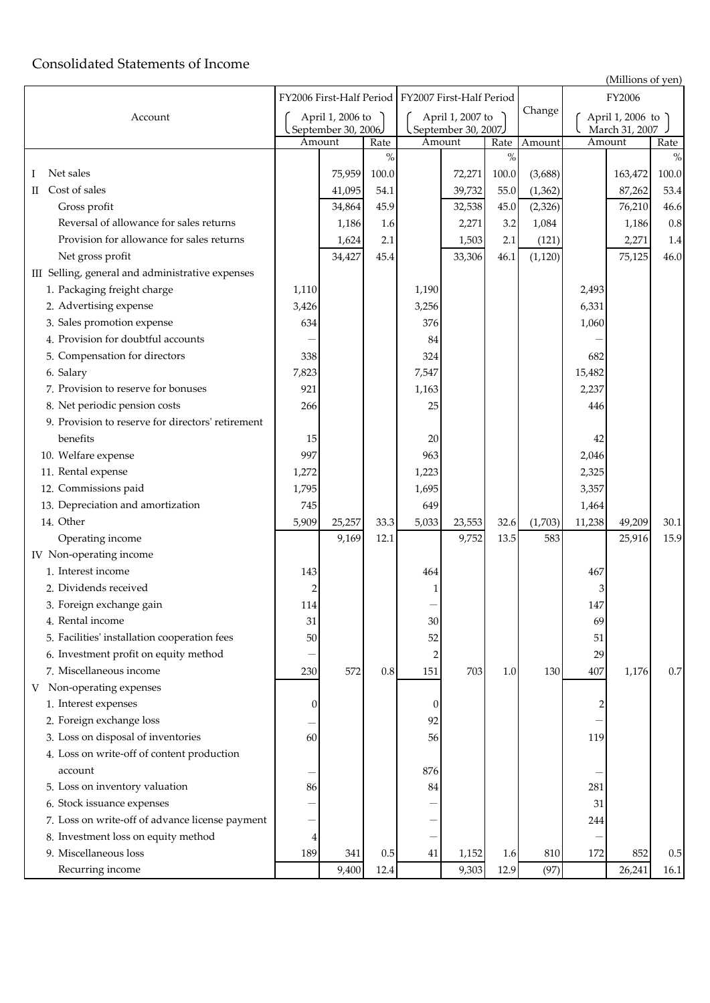# Consolidated Statements of Income

| Account                                           | April 1, 2006 to<br>September 30, 2006. |        | April 1, 2007 to<br>September 30, 2007 |                |        | Change | April 1, 2006 to<br>March 31, 2007 |        |         |       |
|---------------------------------------------------|-----------------------------------------|--------|----------------------------------------|----------------|--------|--------|------------------------------------|--------|---------|-------|
|                                                   |                                         | Amount | Rate                                   | Amount         |        | Rate   | Amount                             | Amount |         | Rate  |
|                                                   |                                         |        | $\%$                                   |                |        | $\%$   |                                    |        |         | $\%$  |
| Net sales                                         |                                         | 75,959 | 100.0                                  |                | 72,271 | 100.0  | (3,688)                            |        | 163,472 | 100.0 |
| Cost of sales<br>$\scriptstyle\rm II$             |                                         | 41,095 | 54.1                                   |                | 39,732 | 55.0   | (1, 362)                           |        | 87,262  | 53.4  |
| Gross profit                                      |                                         | 34,864 | 45.9                                   |                | 32,538 | 45.0   | (2, 326)                           |        | 76,210  | 46.6  |
| Reversal of allowance for sales returns           |                                         | 1,186  | 1.6                                    |                | 2,271  | 3.2    | 1,084                              |        | 1,186   | 0.8   |
| Provision for allowance for sales returns         |                                         | 1,624  | 2.1                                    |                | 1,503  | 2.1    | (121)                              |        | 2,271   | 1.4   |
| Net gross profit                                  |                                         | 34,427 | 45.4                                   |                | 33,306 | 46.1   | (1, 120)                           |        | 75,125  | 46.0  |
| III Selling, general and administrative expenses  |                                         |        |                                        |                |        |        |                                    |        |         |       |
| 1. Packaging freight charge                       | 1,110                                   |        |                                        | 1,190          |        |        |                                    | 2,493  |         |       |
| 2. Advertising expense                            | 3,426                                   |        |                                        | 3,256          |        |        |                                    | 6,331  |         |       |
| 3. Sales promotion expense                        | 634                                     |        |                                        | 376            |        |        |                                    | 1,060  |         |       |
| 4. Provision for doubtful accounts                |                                         |        |                                        | 84             |        |        |                                    |        |         |       |
| 5. Compensation for directors                     | 338                                     |        |                                        | 324            |        |        |                                    | 682    |         |       |
| 6. Salary                                         | 7,823                                   |        |                                        | 7,547          |        |        |                                    | 15,482 |         |       |
| 7. Provision to reserve for bonuses               | 921                                     |        |                                        | 1,163          |        |        |                                    | 2,237  |         |       |
| 8. Net periodic pension costs                     | 266                                     |        |                                        | 25             |        |        |                                    | 446    |         |       |
| 9. Provision to reserve for directors' retirement |                                         |        |                                        |                |        |        |                                    |        |         |       |
| benefits                                          | 15                                      |        |                                        | 20             |        |        |                                    | 42     |         |       |
| 10. Welfare expense                               | 997                                     |        |                                        | 963            |        |        |                                    | 2,046  |         |       |
| 11. Rental expense                                | 1,272                                   |        |                                        | 1,223          |        |        |                                    | 2,325  |         |       |
| 12. Commissions paid                              | 1,795                                   |        |                                        | 1,695          |        |        |                                    | 3,357  |         |       |
| 13. Depreciation and amortization                 | 745                                     |        |                                        | 649            |        |        |                                    | 1,464  |         |       |
| 14. Other                                         | 5,909                                   | 25,257 | 33.3                                   | 5,033          | 23,553 | 32.6   | (1,703)                            | 11,238 | 49,209  | 30.1  |
| Operating income                                  |                                         | 9,169  | 12.1                                   |                | 9,752  | 13.5   | 583                                |        | 25,916  | 15.9  |
| IV Non-operating income                           |                                         |        |                                        |                |        |        |                                    |        |         |       |
| 1. Interest income                                | 143                                     |        |                                        | 464            |        |        |                                    | 467    |         |       |
| 2. Dividends received                             | $\overline{2}$                          |        |                                        | 1              |        |        |                                    | 3      |         |       |
| 3. Foreign exchange gain                          | 114                                     |        |                                        |                |        |        |                                    | 147    |         |       |
| 4. Rental income                                  | 31                                      |        |                                        | 30             |        |        |                                    | 69     |         |       |
| 5. Facilities' installation cooperation fees      | 50                                      |        |                                        | 52             |        |        |                                    | 51     |         |       |
| 6. Investment profit on equity method             |                                         |        |                                        | $\overline{2}$ |        |        |                                    | 29     |         |       |

FY2007 First‐Half Period FY2006 First‐Half Period

(Millions of yen)

FY2006

| 7. Miscellaneous income                         | 230      | 572   | 0.8  | 151 | 703   | 1.0  | 130  | 407 | 1,176  | 0.7  |
|-------------------------------------------------|----------|-------|------|-----|-------|------|------|-----|--------|------|
| V Non-operating expenses                        |          |       |      |     |       |      |      |     |        |      |
| 1. Interest expenses                            | $\Omega$ |       |      |     |       |      |      |     |        |      |
| 2. Foreign exchange loss                        |          |       |      | 92  |       |      |      |     |        |      |
| 3. Loss on disposal of inventories              | 60       |       |      | 56  |       |      |      | 119 |        |      |
| 4. Loss on write-off of content production      |          |       |      |     |       |      |      |     |        |      |
| account                                         |          |       |      | 876 |       |      |      |     |        |      |
| 5. Loss on inventory valuation                  | 86       |       |      | 84  |       |      |      | 281 |        |      |
| 6. Stock issuance expenses                      | —        |       |      |     |       |      |      | 31  |        |      |
| 7. Loss on write-off of advance license payment |          |       |      |     |       |      |      | 244 |        |      |
| 8. Investment loss on equity method             | 4        |       |      |     |       |      |      |     |        |      |
| 9. Miscellaneous loss                           | 189      | 341   | 0.5  | 41  | 1,152 | 1.6  | 810  | 172 | 852    | 0.5  |
| Recurring income                                |          | 9,400 | 12.4 |     | 9,303 | 12.9 | (97) |     | 26,241 | 16.1 |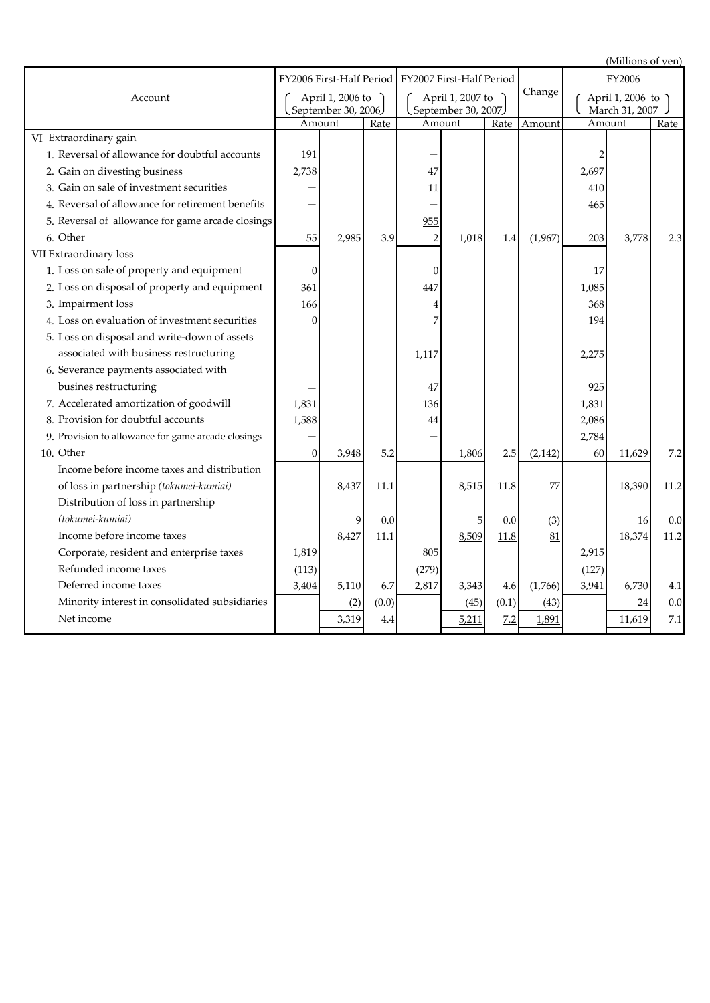(Millions of yen) Rate Amount Rate Amount Amount Rate Change March 31, 2007 April 1, 2006 to FY2006 Amount FY2007 First‐Half Period April 1, 2007 to FY2006 First‐Half Period April 1, 2006 to September 30, 2006 Amount September 30, 2007)<br>Amount Rate Account VI Extraordinary gain 1. Reversal of allowance for doubtful accounts  $\begin{vmatrix} 191 & 1 \end{vmatrix}$   $\begin{vmatrix} 2 & 1 \end{vmatrix}$   $\begin{vmatrix} -1 & 1 \end{vmatrix}$   $\begin{vmatrix} 2 & 1 \end{vmatrix}$   $\begin{vmatrix} 2 & 1 \end{vmatrix}$   $\begin{vmatrix} 2 & 1 \end{vmatrix}$   $\begin{vmatrix} 2 & 1 \end{vmatrix}$   $\begin{vmatrix} 2 & 1 \end{vmatrix}$   $\begin{vmatrix} 2 & 1 \$ 2. Gain on divesting business  $\begin{array}{|c|c|c|c|c|c|c|c|c|c|c|} \hline \end{array}$  2,697  $\begin{array}{|c|c|c|c|c|c|c|c|c|} \hline \end{array}$  47  $\begin{array}{|c|c|c|c|c|c|c|c|c|} \hline \end{array}$  2,697 3. Gain on sale of investment securities  $1$   $1$   $1$   $1$   $1$   $1$   $1$ 4. Reversal of allowance for retirement benefits  $\begin{vmatrix} - & 1 & 1 \\ - & 1 & 1 \end{vmatrix}$  and the set of allowance for retirement benefits  $\begin{vmatrix} - & 1 & 1 \\ 1 & 1 & 1 \end{vmatrix}$  and the set of allowance for retirement benefits  $\begin{vmatrix} 1 & 1 \\$ 5. - 955 - Reversal of allowance for game arcade closings 6. 55 2,985 3.9 2 1,018 1.4 (1,967) 203 3,778 2.3 VII Extraordinary loss 1. 0 0 17 Loss on sale of property and equipment 2. Loss on disposal of property and equipment  $\begin{array}{|c|c|c|c|c|c|c|c|} \hline \end{array}$   $\begin{array}{|c|c|c|c|c|c|} \hline \end{array}$   $\begin{array}{|c|c|c|c|c|} \hline \end{array}$   $\begin{array}{|c|c|c|c|c|} \hline \end{array}$   $\begin{array}{|c|c|c|c|c|} \hline \end{array}$   $\begin{array}{|c|c|c|c|c|} \hline \end{array}$  3. 166 4 368 Impairment loss 4. 0 7 194 Loss on evaluation of investment securities 5. Loss on disposal and write‐down of assets 6. Severance payments associated with 7. Accelerated amortization of goodwill  $1,831$  136 136 136 1,831 8. Provision for doubtful accounts  $\begin{array}{|c|c|c|c|c|c|c|c|c|} \hline 8 & 44 & & \\\hline \end{array}$   $\begin{array}{|c|c|c|c|c|c|c|c|c|} \hline 2,086 & & \\\hline \end{array}$ 9. Provision to allowance for game arcade closings  $\begin{vmatrix} - & 1 & 1 \\ 1 & -1 & 1 \end{vmatrix}$   $\begin{vmatrix} - & 1 & 1 \\ - & 1 & 1 \end{vmatrix}$  2,784 10. 0 3,948 5.2 - 1,806 2.5 (2,142) 60 11,629 7.2 8,427 11.1 <u>8,509 11.8 81</u> 18,374 11.2 1,819 805 2,915 (113) (279) (127) 3,404 5,110 6.7 2,817 3,343 4.6 (1,766) 3,941 6,730 4.1  $(2)$   $(0.0)$  (45)  $(0.1)$   $(43)$   $(43)$  24 0.0 3,319 4.4 <u>5,211</u> 7.2 1,891 11,619 7.1 9 0.0 associated with business restructuring 8,437 11.1 busines restructuring 6. Other - 0.0 8,515 11.8 Income before income taxes and distribution *(tokumei‐kumiai)* Distribution of loss in partnership 77 2,275 47 925 1,117 Income before income taxes of loss in partnership *(tokumei‐kumiai)* 5 0.0 (3) 16 0.0 Net income Corporate, resident and enterprise taxes Deferred income taxes Minority interest in consolidated subsidiaries Refunded income taxes 10. Other 11.2 18,390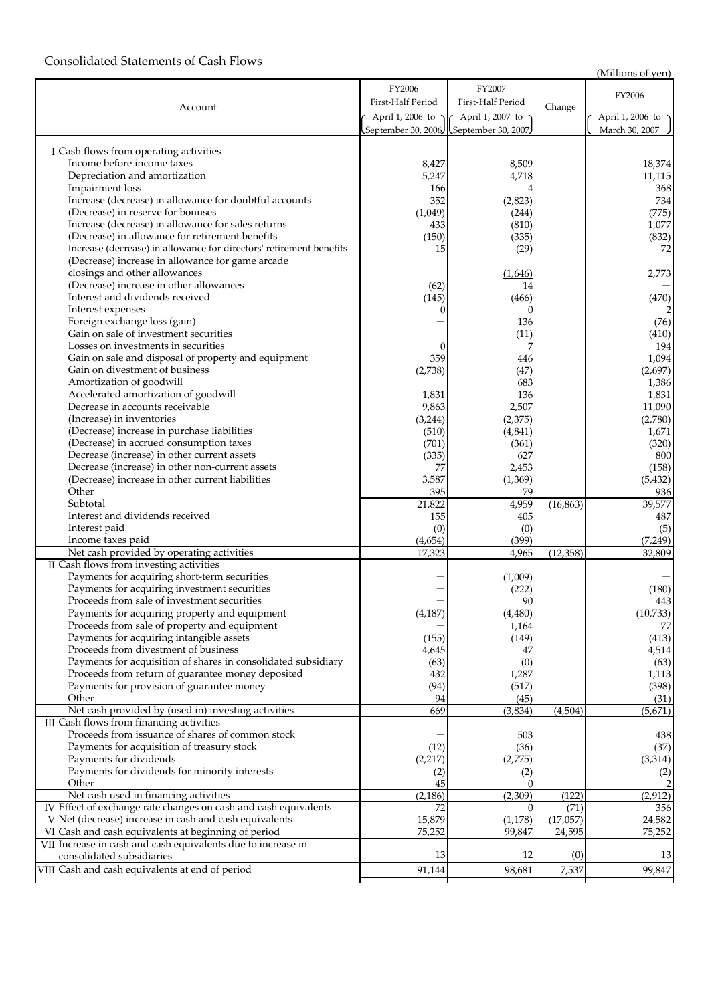## Consolidated Statements of Cash Flows

(Millions of yen)

|                                                                     | FY2006             | FY2007                                |           |                   |
|---------------------------------------------------------------------|--------------------|---------------------------------------|-----------|-------------------|
|                                                                     | First-Half Period  | First-Half Period                     |           | FY2006            |
| Account                                                             |                    |                                       | Change    |                   |
|                                                                     | April 1, 2006 to   | ך April 1, 2007 to                    |           | April 1, 2006 to  |
|                                                                     |                    | September 30, 2006 September 30, 2007 |           | March 30, 2007    |
| I Cash flows from operating activities                              |                    |                                       |           |                   |
| Income before income taxes                                          | 8,427              | 8,509                                 |           | 18,374            |
| Depreciation and amortization                                       | 5,247              | 4,718                                 |           | 11,115            |
| Impairment loss                                                     | 166                |                                       |           | 368               |
| Increase (decrease) in allowance for doubtful accounts              | 352                | (2,823)                               |           | 734               |
| (Decrease) in reserve for bonuses                                   | (1,049)            | (244)                                 |           | (775)             |
| Increase (decrease) in allowance for sales returns                  | 433                | (810)                                 |           | 1,077             |
| (Decrease) in allowance for retirement benefits                     | (150)              | (335)                                 |           | (832)             |
| Increase (decrease) in allowance for directors' retirement benefits | 15                 | (29)                                  |           | 72                |
| (Decrease) increase in allowance for game arcade                    |                    |                                       |           |                   |
| closings and other allowances                                       |                    | (1,646)                               |           | 2,773             |
| (Decrease) increase in other allowances                             | (62)               | 14                                    |           |                   |
| Interest and dividends received                                     | (145)              | (466)                                 |           | (470)             |
| Interest expenses                                                   |                    |                                       |           |                   |
| Foreign exchange loss (gain)                                        |                    | 136                                   |           | (76)              |
| Gain on sale of investment securities                               |                    | (11)                                  |           | (410)             |
| Losses on investments in securities                                 |                    |                                       |           | 194               |
| Gain on sale and disposal of property and equipment                 | 359                | 446                                   |           | 1,094             |
| Gain on divestment of business                                      | (2,738)            | (47)                                  |           | (2,697)           |
| Amortization of goodwill                                            |                    | 683                                   |           | 1,386             |
| Accelerated amortization of goodwill                                | 1,831              | 136                                   |           | 1,831             |
| Decrease in accounts receivable                                     | 9,863              | 2,507                                 |           | 11,090            |
| (Increase) in inventories                                           | (3,244)            | (2,375)                               |           | (2,780)           |
| (Decrease) increase in purchase liabilities                         | (510)              | (4, 841)                              |           | 1,671             |
| (Decrease) in accrued consumption taxes                             | (701)              | (361)                                 |           | (320)             |
| Decrease (increase) in other current assets                         | (335)              | 627                                   |           | 800               |
| Decrease (increase) in other non-current assets                     | 77                 | 2,453                                 |           | (158)             |
| (Decrease) increase in other current liabilities                    | 3,587              | (1,369)                               |           | (5, 432)          |
| Other                                                               | 395                | 79                                    |           | 936               |
| Subtotal                                                            | 21,822             | 4,959                                 | (16, 863) | 39,577            |
| Interest and dividends received                                     | 155                | 405                                   |           | 487               |
| Interest paid<br>Income taxes paid                                  | (0)                | (0)<br>(399)                          |           | (5)               |
| Net cash provided by operating activities                           | (4, 654)<br>17,323 | 4,965                                 | (12, 358) | (7,249)<br>32,809 |
| II Cash flows from investing activities                             |                    |                                       |           |                   |
| Payments for acquiring short-term securities                        |                    | (1,009)                               |           |                   |
| Payments for acquiring investment securities                        |                    | (222)                                 |           | (180)             |
| Proceeds from sale of investment securities                         |                    | 90                                    |           | 443               |
| Payments for acquiring property and equipment                       | (4, 187)           | (4,480)                               |           | (10, 733)         |
| Proceeds from sale of property and equipment                        |                    | 1,164                                 |           | 77                |
| Payments for acquiring intangible assets                            | (155)              | (149)                                 |           | (413)             |
| Proceeds from divestment of business                                | 4,645              | 47                                    |           | 4,514             |
| Payments for acquisition of shares in consolidated subsidiary       | (63)               | (0)                                   |           | (63)              |
| Proceeds from return of guarantee money deposited                   | 432                | 1,287                                 |           | 1,113             |
| Payments for provision of guarantee money                           | (94)               | (517)                                 |           | (398)             |
| Other                                                               | 94                 | (45)                                  |           | (31)              |
| Net cash provided by (used in) investing activities                 | 669                | (3, 834)                              | (4, 504)  | (5,671)           |
| III Cash flows from financing activities                            |                    |                                       |           |                   |
| Proceeds from issuance of shares of common stock                    |                    | 503                                   |           | 438               |
| Payments for acquisition of treasury stock                          | (12)               | (36)                                  |           | (37)              |
| Payments for dividends                                              | (2, 217)           | (2,775)                               |           | (3, 314)          |
| Payments for dividends for minority interests                       | (2)                | (2)                                   |           | (2)               |
| Other                                                               | 45                 |                                       |           |                   |
| Net cash used in financing activities                               | (2, 186)           | (2,309)                               | (122)     | (2, 912)          |
| IV Effect of exchange rate changes on cash and cash equivalents     | 72                 | $\Omega$                              | (71)      | 356               |
| V Net (decrease) increase in cash and cash equivalents              | 15,879             | (1, 178)                              | (17,057)  | 24,582            |
| VI Cash and cash equivalents at beginning of period                 | 75,252             | 99,847                                | 24,595    | 75,252            |
| VII Increase in cash and cash equivalents due to increase in        |                    |                                       |           |                   |
| consolidated subsidiaries                                           | 13                 | 12                                    | (0)       | 13                |
| VIII Cash and cash equivalents at end of period                     | 91,144             | 98,681                                | 7,537     | 99,847            |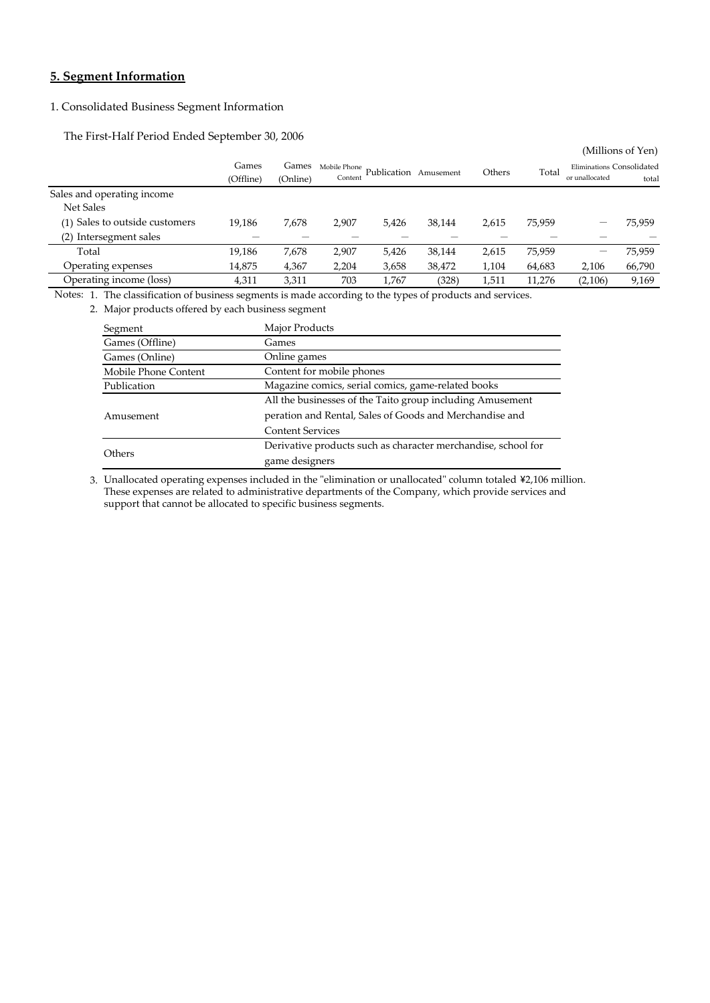## **5. Segment Information**

## 1. Consolidated Business Segment Information

The First‐Half Period Ended September 30, 2006

| Eliminations Consolidated |
|---------------------------|
| total                     |
|                           |
|                           |
| 75,959                    |
|                           |
| 75,959                    |
| 66,790                    |
| 9,169                     |
|                           |

Notes: 1. The classification of business segments is made according to the types of products and services.

2. Major products offered by each business segment

| Segment              | Major Products                                                |  |  |  |  |  |
|----------------------|---------------------------------------------------------------|--|--|--|--|--|
| Games (Offline)      | Games                                                         |  |  |  |  |  |
| Games (Online)       | Online games                                                  |  |  |  |  |  |
| Mobile Phone Content | Content for mobile phones                                     |  |  |  |  |  |
| Publication          | Magazine comics, serial comics, game-related books            |  |  |  |  |  |
|                      | All the businesses of the Taito group including Amusement     |  |  |  |  |  |
| Amusement            | peration and Rental, Sales of Goods and Merchandise and       |  |  |  |  |  |
|                      | <b>Content Services</b>                                       |  |  |  |  |  |
|                      | Derivative products such as character merchandise, school for |  |  |  |  |  |
| <b>Others</b>        | game designers                                                |  |  |  |  |  |

3. Unallocated operating expenses included in the "elimination or unallocated" column totaled ¥2,106 million. support that cannot be allocated to specific business segments. These expenses are related to administrative departments of the Company, which provide services and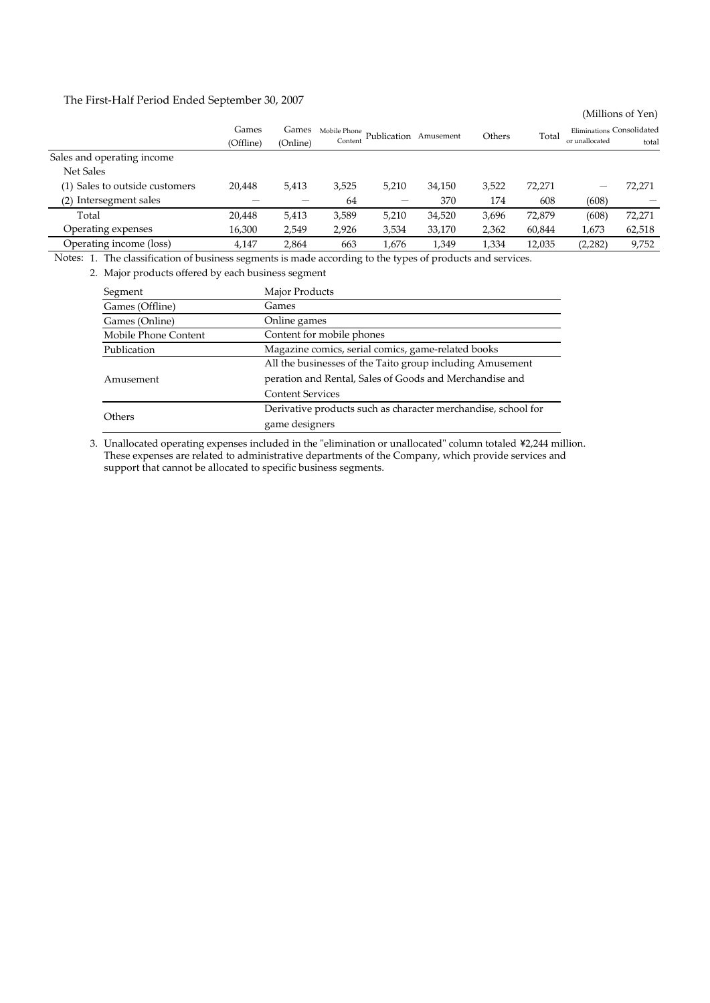The First‐Half Period Ended September 30, 2007

|                                |                    |                   |                         |             |           |        |        |                                             | (Millions of Yen) |
|--------------------------------|--------------------|-------------------|-------------------------|-------------|-----------|--------|--------|---------------------------------------------|-------------------|
|                                | Games<br>(Offline) | Games<br>(Online) | Mobile Phone<br>Content | Publication | Amusement | Others | Total  | Eliminations Consolidated<br>or unallocated | total             |
| Sales and operating income     |                    |                   |                         |             |           |        |        |                                             |                   |
| Net Sales                      |                    |                   |                         |             |           |        |        |                                             |                   |
| (1) Sales to outside customers | 20,448             | 5,413             | 3,525                   | 5,210       | 34,150    | 3,522  | 72,271 |                                             | 72,271            |
| Intersegment sales<br>(2)      |                    |                   | 64                      |             | 370       | 174    | 608    | (608)                                       |                   |
| Total                          | 20,448             | 5,413             | 3,589                   | 5,210       | 34,520    | 3,696  | 72,879 | (608)                                       | 72,271            |
| Operating expenses             | 16,300             | 2,549             | 2,926                   | 3,534       | 33,170    | 2,362  | 60,844 | 1,673                                       | 62,518            |
| Operating income (loss)        | 4,147              | 2.864             | 663                     | 1,676       | 1,349     | 1,334  | 12,035 | (2,282)                                     | 9,752             |

Notes: 1. The classification of business segments is made according to the types of products and services.

2. Major products offered by each business segment

| Segment              | Major Products                                                |  |  |  |  |  |
|----------------------|---------------------------------------------------------------|--|--|--|--|--|
| Games (Offline)      | Games                                                         |  |  |  |  |  |
| Games (Online)       | Online games                                                  |  |  |  |  |  |
| Mobile Phone Content | Content for mobile phones                                     |  |  |  |  |  |
| Publication          | Magazine comics, serial comics, game-related books            |  |  |  |  |  |
|                      | All the businesses of the Taito group including Amusement     |  |  |  |  |  |
| Amusement            | peration and Rental, Sales of Goods and Merchandise and       |  |  |  |  |  |
|                      | <b>Content Services</b>                                       |  |  |  |  |  |
|                      | Derivative products such as character merchandise, school for |  |  |  |  |  |
| Others               | game designers                                                |  |  |  |  |  |

3. Unallocated operating expenses included in the "elimination or unallocated" column totaled ¥2,244 million. These expenses are related to administrative departments of the Company, which provide services and support that cannot be allocated to specific business segments.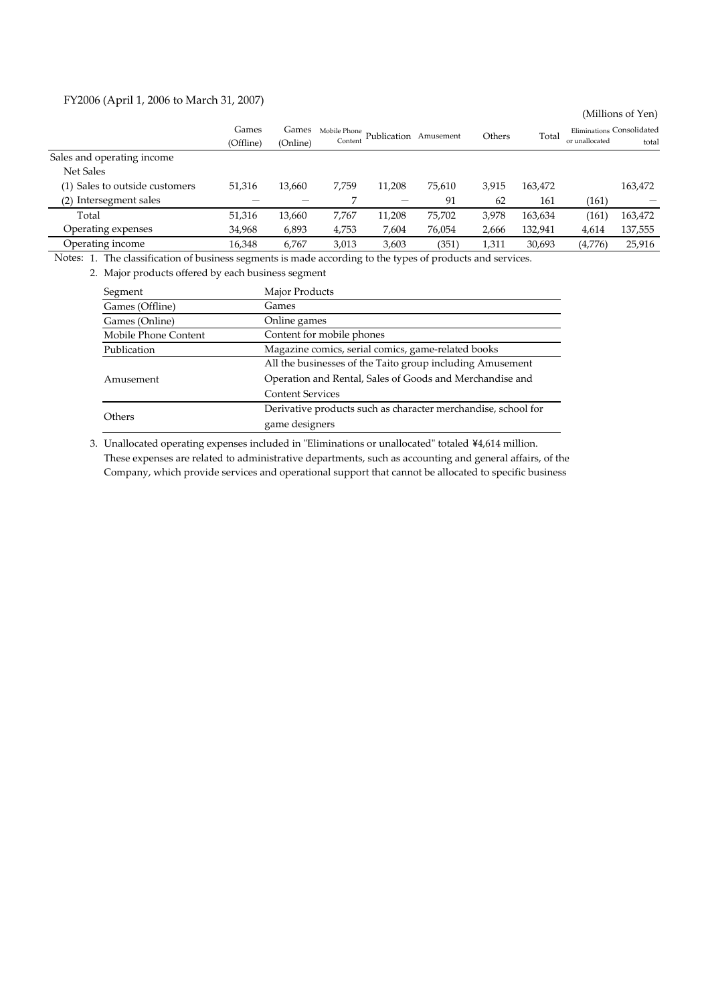### FY2006 (April 1, 2006 to March 31, 2007)

|                                |           |          |              |                       |        |        |         |                | (Millions of Yen)         |
|--------------------------------|-----------|----------|--------------|-----------------------|--------|--------|---------|----------------|---------------------------|
|                                | Games     | Games    | Mobile Phone | Publication Amusement |        | Others | Total   |                | Eliminations Consolidated |
|                                | (Offline) | (Online) | Content      |                       |        |        |         | or unallocated | total                     |
| Sales and operating income     |           |          |              |                       |        |        |         |                |                           |
| <b>Net Sales</b>               |           |          |              |                       |        |        |         |                |                           |
| (1) Sales to outside customers | 51,316    | 13,660   | 7.759        | 11,208                | 75,610 | 3,915  | 163,472 |                | 163,472                   |
| Intersegment sales<br>(2)      |           |          |              |                       | 91     | 62     | 161     | (161)          |                           |
| Total                          | 51,316    | 13,660   | 7,767        | 11,208                | 75,702 | 3,978  | 163,634 | (161)          | 163,472                   |
| Operating expenses             | 34,968    | 6,893    | 4,753        | 7,604                 | 76,054 | 2,666  | 132,941 | 4,614          | 137,555                   |
| Operating income               | 16,348    | 6,767    | 3,013        | 3,603                 | (351)  | 1,311  | 30,693  | (4,776)        | 25,916                    |

Notes: 1. The classification of business segments is made according to the types of products and services.

2. Major products offered by each business segment

| Segment                                                           | Major Products                                                |  |  |  |  |
|-------------------------------------------------------------------|---------------------------------------------------------------|--|--|--|--|
| Games (Offline)                                                   | Games                                                         |  |  |  |  |
| Games (Online)                                                    | Online games                                                  |  |  |  |  |
| Mobile Phone Content                                              | Content for mobile phones                                     |  |  |  |  |
| Magazine comics, serial comics, game-related books<br>Publication |                                                               |  |  |  |  |
|                                                                   | All the businesses of the Taito group including Amusement     |  |  |  |  |
| Amusement                                                         | Operation and Rental, Sales of Goods and Merchandise and      |  |  |  |  |
|                                                                   | <b>Content Services</b>                                       |  |  |  |  |
|                                                                   | Derivative products such as character merchandise, school for |  |  |  |  |
| Others                                                            | game designers                                                |  |  |  |  |

3. Unallocated operating expenses included in "Eliminations or unallocated" totaled ¥4,614 million. These expenses are related to administrative departments, such as accounting and general affairs, of the Company, which provide services and operational support that cannot be allocated to specific business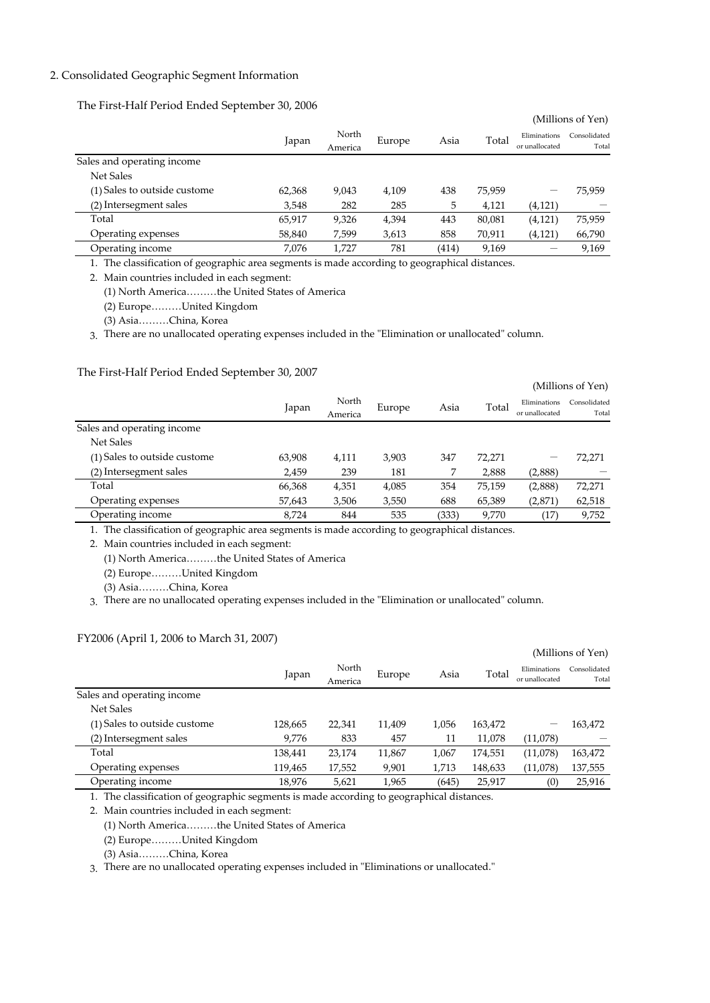### 2. Consolidated Geographic Segment Information

The First‐Half Period Ended September 30, 2006

|                              |        |                  |        |       |        |                                | (Millions of Yen)     |
|------------------------------|--------|------------------|--------|-------|--------|--------------------------------|-----------------------|
|                              | Japan  | North<br>America | Europe | Asia  | Total  | Eliminations<br>or unallocated | Consolidated<br>Total |
| Sales and operating income   |        |                  |        |       |        |                                |                       |
| <b>Net Sales</b>             |        |                  |        |       |        |                                |                       |
| (1) Sales to outside custome | 62,368 | 9,043            | 4,109  | 438   | 75,959 | -                              | 75,959                |
| (2) Intersegment sales       | 3,548  | 282              | 285    | 5     | 4,121  | (4, 121)                       |                       |
| Total                        | 65,917 | 9,326            | 4,394  | 443   | 80,081 | (4, 121)                       | 75,959                |
| Operating expenses           | 58,840 | 7,599            | 3,613  | 858   | 70,911 | (4,121)                        | 66,790                |
| Operating income             | 7,076  | 1,727            | 781    | (414) | 9,169  |                                | 9,169                 |

1. The classification of geographic area segments is made according to geographical distances.

2. Main countries included in each segment:

(1) North America………the United States of America

(2) Europe………United Kingdom

(3) Asia………China, Korea

3. There are no unallocated operating expenses included in the "Elimination or unallocated" column.

### The First‐Half Period Ended September 30, 2007

|                              |        |                  |        |       |        |                                | (Millions of Yen)     |
|------------------------------|--------|------------------|--------|-------|--------|--------------------------------|-----------------------|
|                              | Japan  | North<br>America | Europe | Asia  | Total  | Eliminations<br>or unallocated | Consolidated<br>Total |
| Sales and operating income   |        |                  |        |       |        |                                |                       |
| Net Sales                    |        |                  |        |       |        |                                |                       |
| (1) Sales to outside custome | 63,908 | 4,111            | 3,903  | 347   | 72,271 | –                              | 72,271                |
| (2) Intersegment sales       | 2,459  | 239              | 181    |       | 2,888  | (2,888)                        |                       |
| Total                        | 66,368 | 4,351            | 4,085  | 354   | 75,159 | (2,888)                        | 72,271                |
| Operating expenses           | 57,643 | 3,506            | 3,550  | 688   | 65,389 | (2,871)                        | 62,518                |
| Operating income             | 8,724  | 844              | 535    | (333) | 9,770  | (17                            | 9,752                 |

1. The classification of geographic area segments is made according to geographical distances.

2. Main countries included in each segment:

(1) North America………the United States of America

(2) Europe………United Kingdom

(3) Asia………China, Korea

3. There are no unallocated operating expenses included in the "Elimination or unallocated" column.

#### FY2006 (April 1, 2006 to March 31, 2007)

|                              |         |         |        |       |         |                                | (Millions of Yen)     |
|------------------------------|---------|---------|--------|-------|---------|--------------------------------|-----------------------|
|                              | Japan   | North   | Europe | Asia  | Total   | Eliminations<br>or unallocated | Consolidated<br>Total |
|                              |         | America |        |       |         |                                |                       |
| Sales and operating income   |         |         |        |       |         |                                |                       |
| Net Sales                    |         |         |        |       |         |                                |                       |
| (1) Sales to outside custome | 128,665 | 22,341  | 11,409 | 1,056 | 163,472 | -                              | 163,472               |
| (2) Intersegment sales       | 9,776   | 833     | 457    | 11    | 11,078  | (11,078)                       |                       |
| Total                        | 138,441 | 23,174  | 11,867 | 1,067 | 174,551 | (11,078)                       | 163,472               |
| Operating expenses           | 119,465 | 17,552  | 9,901  | 1,713 | 148,633 | (11,078)                       | 137,555               |
| Operating income             | 18,976  | 5,621   | 1,965  | (645) | 25,917  | (0)                            | 25,916                |

1. The classification of geographic segments is made according to geographical distances.

2. Main countries included in each segment:

(1) North America………the United States of America

(2) Europe………United Kingdom

(3) Asia………China, Korea

3. There are no unallocated operating expenses included in "Eliminations or unallocated."